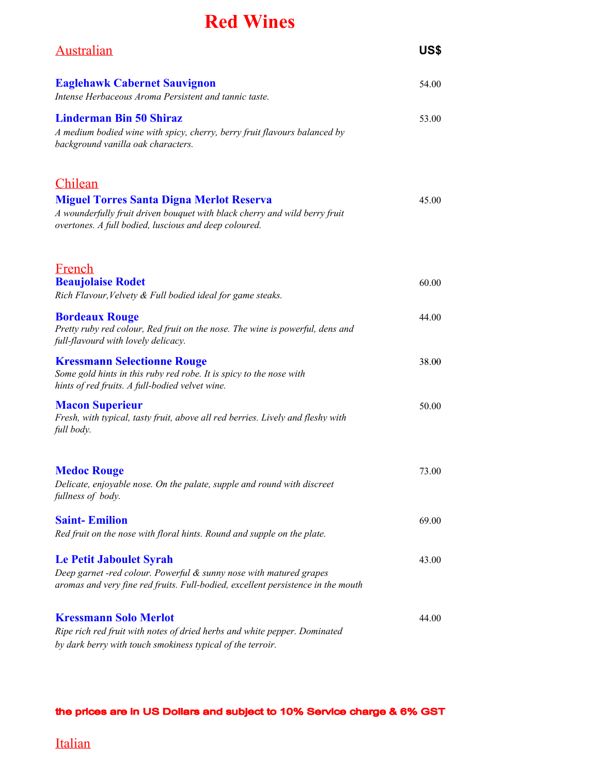## **Red Wines**

| <b>Australian</b>                                                                                                                                                                                 | US\$  |
|---------------------------------------------------------------------------------------------------------------------------------------------------------------------------------------------------|-------|
| <b>Eaglehawk Cabernet Sauvignon</b><br>Intense Herbaceous Aroma Persistent and tannic taste.                                                                                                      | 54.00 |
| <b>Linderman Bin 50 Shiraz</b><br>A medium bodied wine with spicy, cherry, berry fruit flavours balanced by<br>background vanilla oak characters.                                                 | 53.00 |
| Chilean<br><b>Miguel Torres Santa Digna Merlot Reserva</b><br>A wounderfully fruit driven bouquet with black cherry and wild berry fruit<br>overtones. A full bodied, luscious and deep coloured. | 45.00 |
| French<br><b>Beaujolaise Rodet</b><br>Rich Flavour, Velvety & Full bodied ideal for game steaks.                                                                                                  | 60.00 |
| <b>Bordeaux Rouge</b><br>Pretty ruby red colour, Red fruit on the nose. The wine is powerful, dens and<br>full-flavourd with lovely delicacy.                                                     | 44.00 |
| <b>Kressmann Selectionne Rouge</b><br>Some gold hints in this ruby red robe. It is spicy to the nose with<br>hints of red fruits. A full-bodied velvet wine.                                      | 38.00 |
| <b>Macon Superieur</b><br>Fresh, with typical, tasty fruit, above all red berries. Lively and fleshy with<br>full body.                                                                           | 50.00 |
| <b>Medoc Rouge</b><br>Delicate, enjoyable nose. On the palate, supple and round with discreet<br>fullness of body.                                                                                | 73.00 |
| <b>Saint-Emilion</b><br>Red fruit on the nose with floral hints. Round and supple on the plate.                                                                                                   | 69.00 |
| <b>Le Petit Jaboulet Syrah</b><br>Deep garnet -red colour. Powerful & sunny nose with matured grapes<br>aromas and very fine red fruits. Full-bodied, excellent persistence in the mouth          | 43.00 |
| <b>Kressmann Solo Merlot</b><br>Ripe rich red fruit with notes of dried herbs and white pepper. Dominated<br>by dark berry with touch smokiness typical of the terroir.                           | 44.00 |

#### the prices are in US Dollars and subject to 10% Service charge & 6% GST

Italian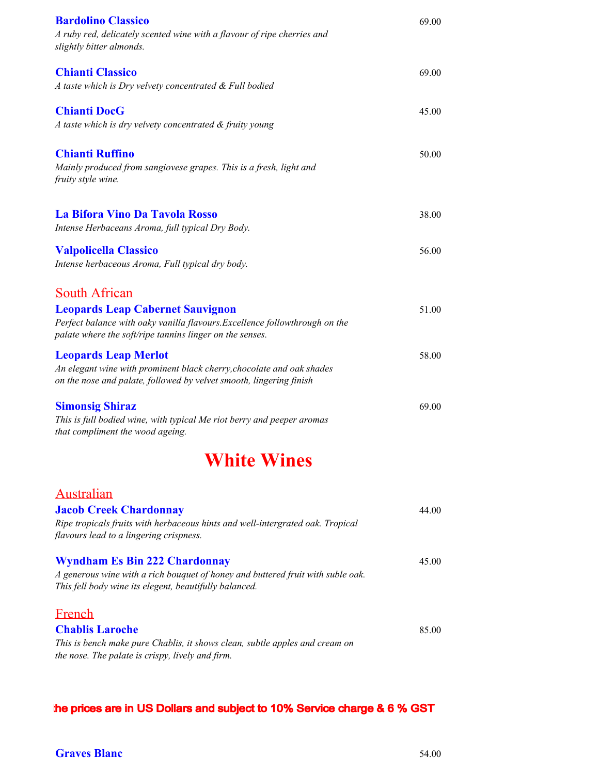| <b>Bardolino Classico</b><br>A ruby red, delicately scented wine with a flavour of ripe cherries and<br>slightly bitter almonds.                                                                           | 69.00 |
|------------------------------------------------------------------------------------------------------------------------------------------------------------------------------------------------------------|-------|
| <b>Chianti Classico</b><br>A taste which is Dry velvety concentrated & Full bodied                                                                                                                         | 69.00 |
| <b>Chianti DocG</b><br>A taste which is dry velvety concentrated & fruity young                                                                                                                            | 45.00 |
| <b>Chianti Ruffino</b><br>Mainly produced from sangiovese grapes. This is a fresh, light and<br>fruity style wine.                                                                                         | 50.00 |
| La Bifora Vino Da Tavola Rosso<br>Intense Herbaceans Aroma, full typical Dry Body.                                                                                                                         | 38.00 |
| <b>Valpolicella Classico</b><br>Intense herbaceous Aroma, Full typical dry body.                                                                                                                           | 56.00 |
| <b>South African</b><br><b>Leopards Leap Cabernet Sauvignon</b><br>Perfect balance with oaky vanilla flavours. Excellence followthrough on the<br>palate where the soft/ripe tannins linger on the senses. | 51.00 |
| <b>Leopards Leap Merlot</b><br>An elegant wine with prominent black cherry, chocolate and oak shades<br>on the nose and palate, followed by velvet smooth, lingering finish                                | 58.00 |
| <b>Simonsig Shiraz</b><br>This is full bodied wine, with typical Me riot berry and peeper aromas<br>that compliment the wood ageing.                                                                       | 69.00 |
| <b>White Wines</b>                                                                                                                                                                                         |       |
| <b>Australian</b><br><b>Jacob Creek Chardonnay</b><br>Ripe tropicals fruits with herbaceous hints and well-intergrated oak. Tropical<br>flavours lead to a lingering crispness.                            | 44.00 |
| <b>Wyndham Es Bin 222 Chardonnay</b><br>A generous wine with a rich bouquet of honey and buttered fruit with suble oak.<br>This fell body wine its elegent, beautifully balanced.                          | 45.00 |
| <b>French</b><br><b>Chablis Laroche</b><br>This is bench make pure Chablis, it shows clean, subtle apples and cream on<br>the nose. The palate is crispy, lively and firm.                                 | 85.00 |

the prices are in US Dollars and subject to 10% Service charge & 6 % GST

### **Graves Blanc** 54.00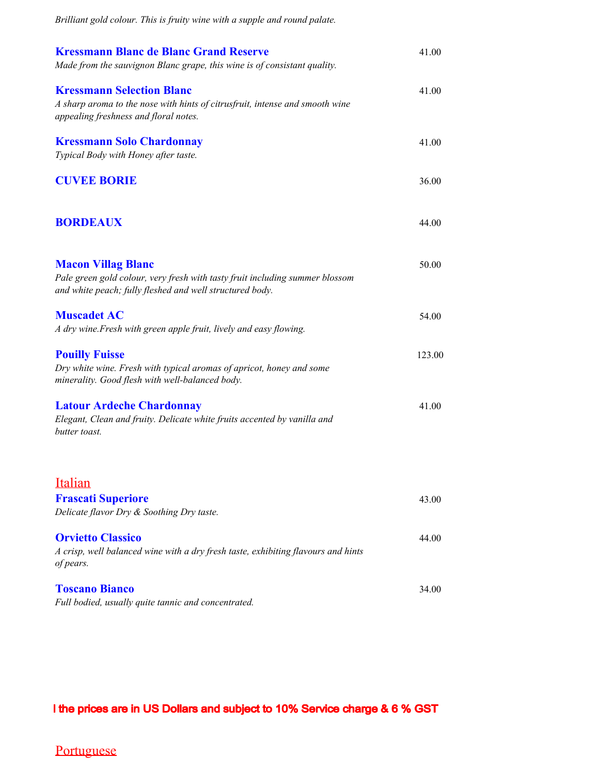| Brilliant gold colour. This is fruity wine with a supple and round palate.                                                                                            |        |  |
|-----------------------------------------------------------------------------------------------------------------------------------------------------------------------|--------|--|
| <b>Kressmann Blanc de Blanc Grand Reserve</b><br>Made from the sauvignon Blanc grape, this wine is of consistant quality.                                             |        |  |
| <b>Kressmann Selection Blanc</b><br>A sharp aroma to the nose with hints of citrusfruit, intense and smooth wine<br>appealing freshness and floral notes.             | 41.00  |  |
| <b>Kressmann Solo Chardonnay</b><br>Typical Body with Honey after taste.                                                                                              | 41.00  |  |
| <b>CUVEE BORIE</b>                                                                                                                                                    | 36.00  |  |
| <b>BORDEAUX</b>                                                                                                                                                       | 44.00  |  |
| <b>Macon Villag Blanc</b><br>Pale green gold colour, very fresh with tasty fruit including summer blossom<br>and white peach; fully fleshed and well structured body. | 50.00  |  |
| <b>Muscadet AC</b><br>A dry wine. Fresh with green apple fruit, lively and easy flowing.                                                                              | 54.00  |  |
| <b>Pouilly Fuisse</b><br>Dry white wine. Fresh with typical aromas of apricot, honey and some<br>minerality. Good flesh with well-balanced body.                      | 123.00 |  |
| <b>Latour Ardeche Chardonnay</b><br>Elegant, Clean and fruity. Delicate white fruits accented by vanilla and<br>butter toast.                                         | 41.00  |  |
| Italian<br><b>Frascati Superiore</b>                                                                                                                                  | 43.00  |  |
| Delicate flavor Dry & Soothing Dry taste.                                                                                                                             |        |  |
| <b>Orvietto Classico</b><br>A crisp, well balanced wine with a dry fresh taste, exhibiting flavours and hints<br>of pears.                                            | 44.00  |  |
| <b>Toscano Bianco</b><br>Full bodied, usually quite tannic and concentrated.                                                                                          | 34.00  |  |

I the prices are in US Dollars and subject to 10% Service charge & 6 % GST

## **Portuguese**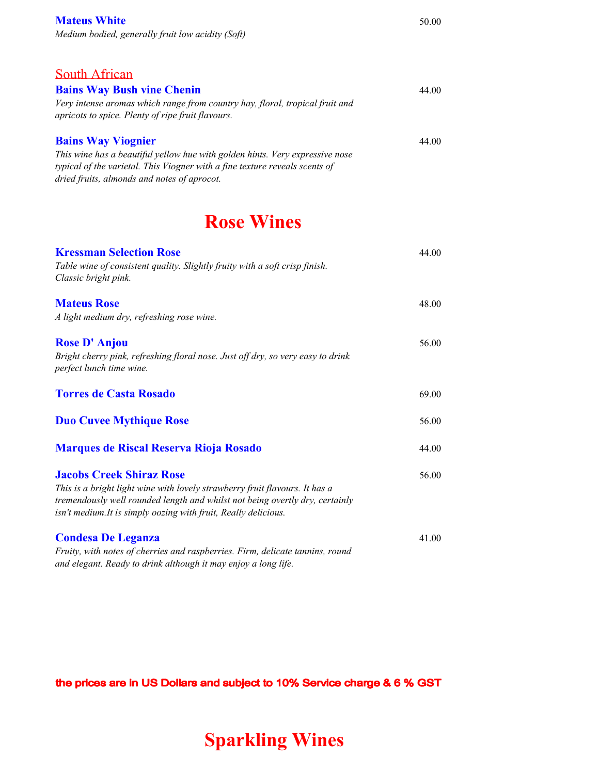| <b>Mateus White</b>                               | 50.00 |
|---------------------------------------------------|-------|
| Medium bodied, generally fruit low acidity (Soft) |       |

South African **Bains Way Bush vine Chenin** 44.00 *Very intense aromas which range from country hay, floral, tropical fruit and apricots to spice. Plenty of ripe fruit flavours.* **Bains Way Viognier** 44.00 *This wine has a beautiful yellow hue with golden hints. Very expressive nose typical of the varietal. This Viogner with a fine texture reveals scents of dried fruits, almonds and notes of aprocot.*

## **Rose Wines**

| <b>Kressman Selection Rose</b>                                                                                                                                                                                                 | 44.00 |
|--------------------------------------------------------------------------------------------------------------------------------------------------------------------------------------------------------------------------------|-------|
| Table wine of consistent quality. Slightly fruity with a soft crisp finish.<br>Classic bright pink.                                                                                                                            |       |
| <b>Mateus Rose</b>                                                                                                                                                                                                             | 48.00 |
| A light medium dry, refreshing rose wine.                                                                                                                                                                                      |       |
| <b>Rose D'Anjou</b><br>Bright cherry pink, refreshing floral nose. Just off dry, so very easy to drink<br>perfect lunch time wine.                                                                                             | 56.00 |
| <b>Torres de Casta Rosado</b>                                                                                                                                                                                                  | 69.00 |
| <b>Duo Cuvee Mythique Rose</b>                                                                                                                                                                                                 | 56.00 |
| <b>Marques de Riscal Reserva Rioja Rosado</b>                                                                                                                                                                                  | 44.00 |
| <b>Jacobs Creek Shiraz Rose</b>                                                                                                                                                                                                | 56.00 |
| This is a bright light wine with lovely strawberry fruit flavours. It has a<br>tremendously well rounded length and whilst not being overtly dry, certainly<br>isn't medium. It is simply oozing with fruit, Really delicious. |       |
| <b>Condesa De Leganza</b>                                                                                                                                                                                                      | 41.00 |
| Fruity, with notes of cherries and raspberries. Firm, delicate tannins, round<br>and elegant. Ready to drink although it may enjoy a long life.                                                                                |       |

the prices are in US Dollars and subject to 10% Service charge & 6 % GST

# **Sparkling Wines**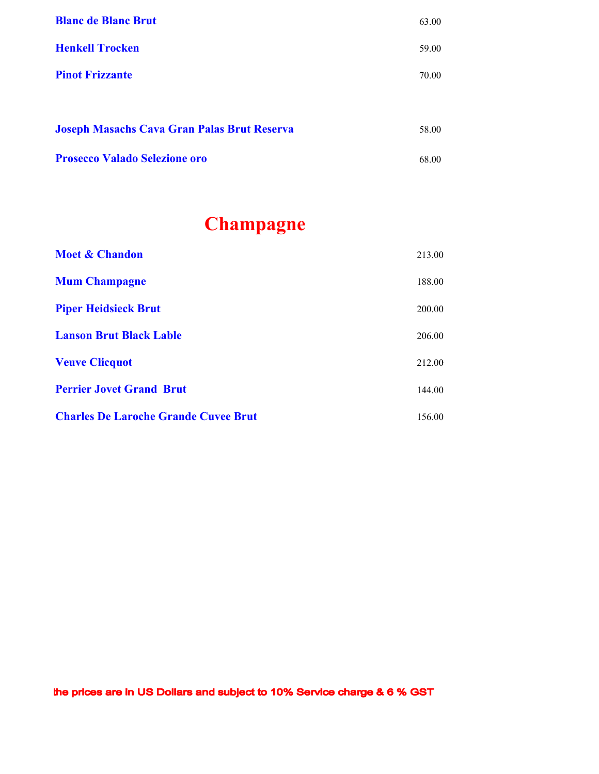| <b>Blanc de Blanc Brut</b>                         | 63.00 |
|----------------------------------------------------|-------|
| <b>Henkell Trocken</b>                             | 59.00 |
| <b>Pinot Frizzante</b>                             | 70.00 |
|                                                    |       |
| <b>Joseph Masachs Cava Gran Palas Brut Reserva</b> | 58.00 |
| <b>Prosecco Valado Selezione oro</b>               | 68.00 |

# **Champagne**

| <b>Moet &amp; Chandon</b>                   | 213.00 |
|---------------------------------------------|--------|
| <b>Mum Champagne</b>                        | 188.00 |
| <b>Piper Heidsieck Brut</b>                 | 200.00 |
| <b>Lanson Brut Black Lable</b>              | 206.00 |
| <b>Veuve Clicquot</b>                       | 212.00 |
| <b>Perrier Jovet Grand Brut</b>             | 144.00 |
| <b>Charles De Laroche Grande Cuvee Brut</b> | 156.00 |

the prices are in US Dollars and subject to 10% Service charge & 6 % GST